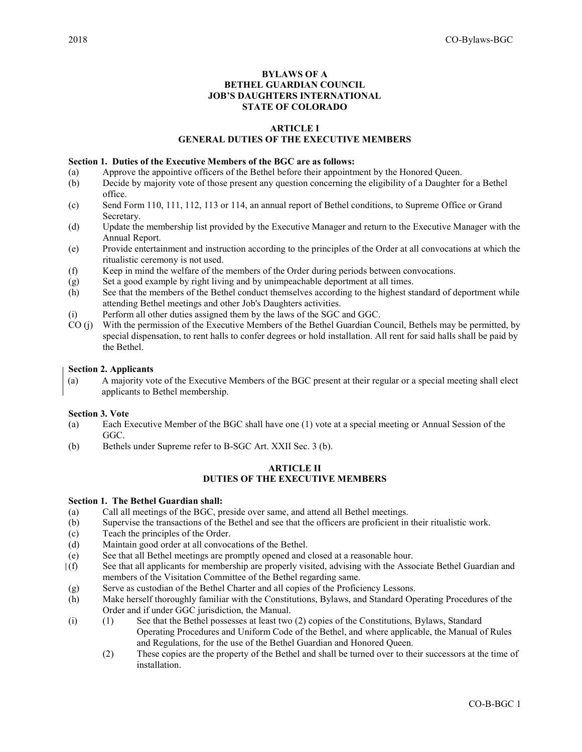# BYLAWS OF A BETHEL GUARDIAN COUNCIL JOB'S DAUGHTERS INTERNATIONAL STATE OF COLORADO

## ARTICLE I

# GENERAL DUTIES OF THE EXECUTIVE MEMBERS

## Section 1. Duties of the Executive Members of the BGC are as follows:

- (a) Approve the appointive officers of the Bethel before their appointment by the Honored Queen.
- (b) Decide by majority vote of those present any question concerning the eligibility of a Daughter for a Bethel office.
- (c) Send Form 110, 111, 112, 113 or 114, an annual report of Bethel conditions, to Supreme Office or Grand Secretary.
- (d) Update the membership list provided by the Executive Manager and return to the Executive Manager with the Annual Report.
- (e) Provide entertainment and instruction according to the principles of the Order at all convocations at which the ritualistic ceremony is not used.
- (f) Keep in mind the welfare of the members of the Order during periods between convocations.
- (g) Set a good example by right living and by unimpeachable deportment at all times.
- (h) See that the members of the Bethel conduct themselves according to the highest standard of deportment while attending Bethel meetings and other Job's Daughters activities.
- (i) Perform all other duties assigned them by the laws of the SGC and GGC.
- CO (j) With the permission of the Executive Members of the Bethel Guardian Council, Bethels may be permitted, by special dispensation, to rent halls to confer degrees or hold installation. All rent for said halls shall be paid by the Bethel.

#### Section 2. Applicants

(a) A majority vote of the Executive Members of the BGC present at their regular or a special meeting shall elect applicants to Bethel membership.

### Section 3. Vote

- (a) Each Executive Member of the BGC shall have one (1) vote at a special meeting or Annual Session of the GGC.
- (b) Bethels under Supreme refer to B-SGC Art. XXII Sec. 3 (b).

## ARTICLE II DUTIES OF THE EXECUTIVE MEMBERS

#### Section 1. The Bethel Guardian shall:

- (a) Call all meetings of the BGC, preside over same, and attend all Bethel meetings.
- (b) Supervise the transactions of the Bethel and see that the officers are proficient in their ritualistic work.
- (c) Teach the principles of the Order.
- (d) Maintain good order at all convocations of the Bethel.
- (e) See that all Bethel meetings are promptly opened and closed at a reasonable hour.
- (f) See that all applicants for membership are properly visited, advising with the Associate Bethel Guardian and members of the Visitation Committee of the Bethel regarding same.
- (g) Serve as custodian of the Bethel Charter and all copies of the Proficiency Lessons.
- (h) Make herself thoroughly familiar with the Constitutions, Bylaws, and Standard Operating Procedures of the Order and if under GGC jurisdiction, the Manual.
- (i) (1) See that the Bethel possesses at least two (2) copies of the Constitutions, Bylaws, Standard Operating Procedures and Uniform Code of the Bethel, and where applicable, the Manual of Rules and Regulations, for the use of the Bethel Guardian and Honored Queen.
	- (2) These copies are the property of the Bethel and shall be turned over to their successors at the time of installation.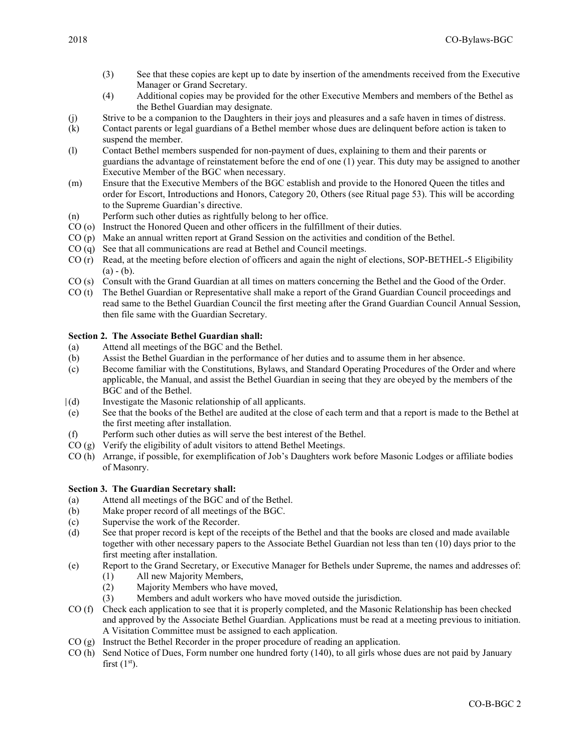- (3) See that these copies are kept up to date by insertion of the amendments received from the Executive Manager or Grand Secretary.
- (4) Additional copies may be provided for the other Executive Members and members of the Bethel as the Bethel Guardian may designate.
- (j) Strive to be a companion to the Daughters in their joys and pleasures and a safe haven in times of distress.
- (k) Contact parents or legal guardians of a Bethel member whose dues are delinquent before action is taken to suspend the member.
- (l) Contact Bethel members suspended for non-payment of dues, explaining to them and their parents or guardians the advantage of reinstatement before the end of one (1) year. This duty may be assigned to another Executive Member of the BGC when necessary.
- (m) Ensure that the Executive Members of the BGC establish and provide to the Honored Queen the titles and order for Escort, Introductions and Honors, Category 20, Others (see Ritual page 53). This will be according to the Supreme Guardian's directive.
- (n) Perform such other duties as rightfully belong to her office.
- CO (o) Instruct the Honored Queen and other officers in the fulfillment of their duties.
- CO (p) Make an annual written report at Grand Session on the activities and condition of the Bethel.
- CO (q) See that all communications are read at Bethel and Council meetings.
- CO (r) Read, at the meeting before election of officers and again the night of elections, SOP-BETHEL-5 Eligibility  $(a) - (b)$ .
- CO (s) Consult with the Grand Guardian at all times on matters concerning the Bethel and the Good of the Order.
- CO (t) The Bethel Guardian or Representative shall make a report of the Grand Guardian Council proceedings and read same to the Bethel Guardian Council the first meeting after the Grand Guardian Council Annual Session, then file same with the Guardian Secretary.

# Section 2. The Associate Bethel Guardian shall:

- (a) Attend all meetings of the BGC and the Bethel.
- (b) Assist the Bethel Guardian in the performance of her duties and to assume them in her absence.
- (c) Become familiar with the Constitutions, Bylaws, and Standard Operating Procedures of the Order and where applicable, the Manual, and assist the Bethel Guardian in seeing that they are obeyed by the members of the BGC and of the Bethel.
- (d) Investigate the Masonic relationship of all applicants.
- (e) See that the books of the Bethel are audited at the close of each term and that a report is made to the Bethel at the first meeting after installation.
- (f) Perform such other duties as will serve the best interest of the Bethel.
- CO (g) Verify the eligibility of adult visitors to attend Bethel Meetings.
- CO (h) Arrange, if possible, for exemplification of Job's Daughters work before Masonic Lodges or affiliate bodies of Masonry.

# Section 3. The Guardian Secretary shall:

- (a) Attend all meetings of the BGC and of the Bethel.
- (b) Make proper record of all meetings of the BGC.
- (c) Supervise the work of the Recorder.
- (d) See that proper record is kept of the receipts of the Bethel and that the books are closed and made available together with other necessary papers to the Associate Bethel Guardian not less than ten (10) days prior to the first meeting after installation.
- (e) Report to the Grand Secretary, or Executive Manager for Bethels under Supreme, the names and addresses of:
	- (1) All new Majority Members,
	- (2) Majority Members who have moved,
	- (3) Members and adult workers who have moved outside the jurisdiction.
- CO (f) Check each application to see that it is properly completed, and the Masonic Relationship has been checked and approved by the Associate Bethel Guardian. Applications must be read at a meeting previous to initiation. A Visitation Committee must be assigned to each application.
- $CO (g)$  Instruct the Bethel Recorder in the proper procedure of reading an application.
- CO (h) Send Notice of Dues, Form number one hundred forty (140), to all girls whose dues are not paid by January first  $(1<sup>st</sup>)$ .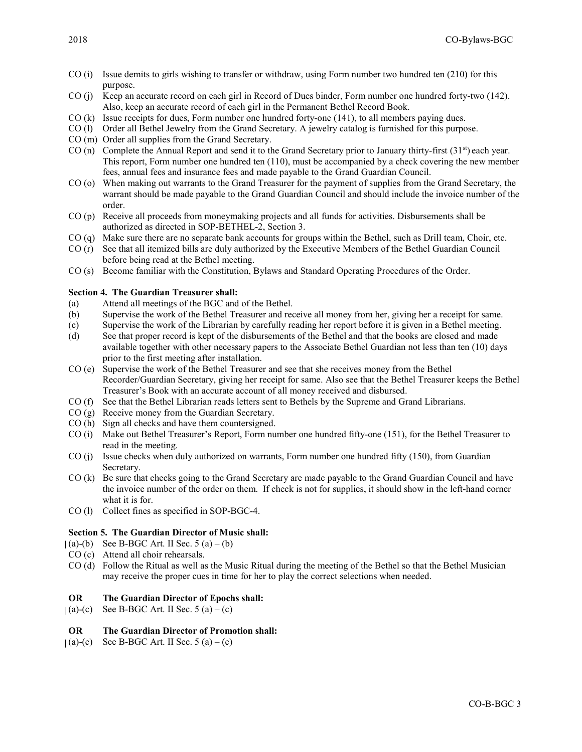- CO (i) Issue demits to girls wishing to transfer or withdraw, using Form number two hundred ten (210) for this purpose.
- CO (j) Keep an accurate record on each girl in Record of Dues binder, Form number one hundred forty-two (142). Also, keep an accurate record of each girl in the Permanent Bethel Record Book.
- CO (k) Issue receipts for dues, Form number one hundred forty-one (141), to all members paying dues.
- CO (l) Order all Bethel Jewelry from the Grand Secretary. A jewelry catalog is furnished for this purpose.
- CO (m) Order all supplies from the Grand Secretary.
- CO (n) Complete the Annual Report and send it to the Grand Secretary prior to January thirty-first  $(31<sup>st</sup>)$  each year. This report, Form number one hundred ten (110), must be accompanied by a check covering the new member fees, annual fees and insurance fees and made payable to the Grand Guardian Council.
- CO (o) When making out warrants to the Grand Treasurer for the payment of supplies from the Grand Secretary, the warrant should be made payable to the Grand Guardian Council and should include the invoice number of the order.
- CO (p) Receive all proceeds from moneymaking projects and all funds for activities. Disbursements shall be authorized as directed in SOP-BETHEL-2, Section 3.
- CO (q) Make sure there are no separate bank accounts for groups within the Bethel, such as Drill team, Choir, etc.
- CO (r) See that all itemized bills are duly authorized by the Executive Members of the Bethel Guardian Council before being read at the Bethel meeting.
- CO (s) Become familiar with the Constitution, Bylaws and Standard Operating Procedures of the Order.

# Section 4. The Guardian Treasurer shall:

- (a) Attend all meetings of the BGC and of the Bethel.
- (b) Supervise the work of the Bethel Treasurer and receive all money from her, giving her a receipt for same.
- (c) Supervise the work of the Librarian by carefully reading her report before it is given in a Bethel meeting.
- (d) See that proper record is kept of the disbursements of the Bethel and that the books are closed and made available together with other necessary papers to the Associate Bethel Guardian not less than ten (10) days prior to the first meeting after installation.
- CO (e) Supervise the work of the Bethel Treasurer and see that she receives money from the Bethel Recorder/Guardian Secretary, giving her receipt for same. Also see that the Bethel Treasurer keeps the Bethel Treasurer's Book with an accurate account of all money received and disbursed.
- CO (f) See that the Bethel Librarian reads letters sent to Bethels by the Supreme and Grand Librarians.
- CO (g) Receive money from the Guardian Secretary.
- CO (h) Sign all checks and have them countersigned.
- CO (i) Make out Bethel Treasurer's Report, Form number one hundred fifty-one (151), for the Bethel Treasurer to read in the meeting.
- CO (j) Issue checks when duly authorized on warrants, Form number one hundred fifty (150), from Guardian Secretary.
- CO (k) Be sure that checks going to the Grand Secretary are made payable to the Grand Guardian Council and have the invoice number of the order on them. If check is not for supplies, it should show in the left-hand corner what it is for.
- CO (l) Collect fines as specified in SOP-BGC-4.

# Section 5. The Guardian Director of Music shall:

- $(a)-(b)$  See B-BGC Art. II Sec. 5  $(a)-(b)$
- CO (c) Attend all choir rehearsals.
- CO (d) Follow the Ritual as well as the Music Ritual during the meeting of the Bethel so that the Bethel Musician may receive the proper cues in time for her to play the correct selections when needed.

# OR The Guardian Director of Epochs shall:

 $|(a)-(c)$  See B-BGC Art. II Sec. 5  $(a)-(c)$ 

# OR The Guardian Director of Promotion shall:

 $(a)-(c)$  See B-BGC Art. II Sec. 5  $(a)-(c)$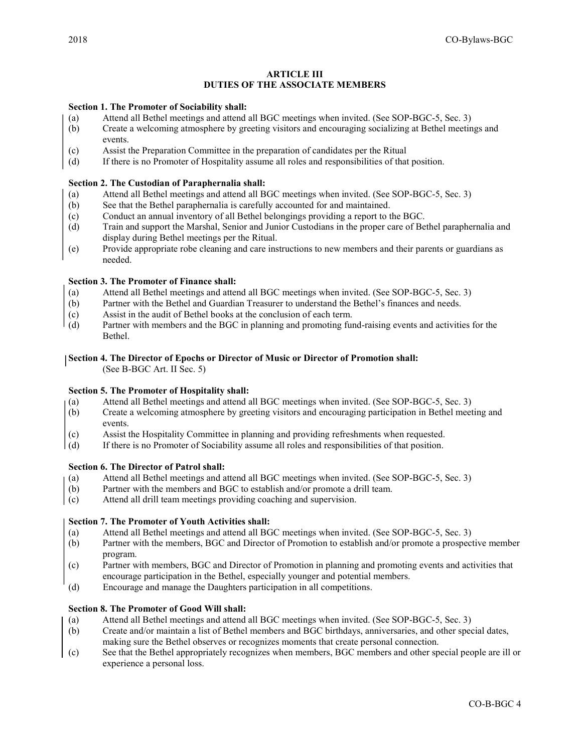# **ARTICLE III** DUTIES OF THE ASSOCIATE MEMBERS

## Section 1. The Promoter of Sociability shall:

- (a) Attend all Bethel meetings and attend all BGC meetings when invited. (See SOP-BGC-5, Sec. 3)
- (b) Create a welcoming atmosphere by greeting visitors and encouraging socializing at Bethel meetings and events.
- (c) Assist the Preparation Committee in the preparation of candidates per the Ritual
- (d) If there is no Promoter of Hospitality assume all roles and responsibilities of that position.

## Section 2. The Custodian of Paraphernalia shall:

- (a) Attend all Bethel meetings and attend all BGC meetings when invited. (See SOP-BGC-5, Sec. 3)
- (b) See that the Bethel paraphernalia is carefully accounted for and maintained.
- (c) Conduct an annual inventory of all Bethel belongings providing a report to the BGC.
- (d) Train and support the Marshal, Senior and Junior Custodians in the proper care of Bethel paraphernalia and display during Bethel meetings per the Ritual.
- (e) Provide appropriate robe cleaning and care instructions to new members and their parents or guardians as needed.

# Section 3. The Promoter of Finance shall:

- (a) Attend all Bethel meetings and attend all BGC meetings when invited. (See SOP-BGC-5, Sec. 3)
- (b) Partner with the Bethel and Guardian Treasurer to understand the Bethel's finances and needs.
- (c) Assist in the audit of Bethel books at the conclusion of each term.
- (d) Partner with members and the BGC in planning and promoting fund-raising events and activities for the Bethel.

# Section 4. The Director of Epochs or Director of Music or Director of Promotion shall:

(See B-BGC Art. II Sec. 5)

### Section 5. The Promoter of Hospitality shall:

- (a) Attend all Bethel meetings and attend all BGC meetings when invited. (See SOP-BGC-5, Sec. 3)
- (b) Create a welcoming atmosphere by greeting visitors and encouraging participation in Bethel meeting and events.
- (c) Assist the Hospitality Committee in planning and providing refreshments when requested.
- (d) If there is no Promoter of Sociability assume all roles and responsibilities of that position.

# Section 6. The Director of Patrol shall:

- (a) Attend all Bethel meetings and attend all BGC meetings when invited. (See SOP-BGC-5, Sec. 3)
- (b) Partner with the members and BGC to establish and/or promote a drill team.
- (c) Attend all drill team meetings providing coaching and supervision.

# Section 7. The Promoter of Youth Activities shall:

- (a) Attend all Bethel meetings and attend all BGC meetings when invited. (See SOP-BGC-5, Sec. 3)
- (b) Partner with the members, BGC and Director of Promotion to establish and/or promote a prospective member program.
- (c) Partner with members, BGC and Director of Promotion in planning and promoting events and activities that encourage participation in the Bethel, especially younger and potential members.
- (d) Encourage and manage the Daughters participation in all competitions.

# Section 8. The Promoter of Good Will shall:

- (a) Attend all Bethel meetings and attend all BGC meetings when invited. (See SOP-BGC-5, Sec. 3)
- (b) Create and/or maintain a list of Bethel members and BGC birthdays, anniversaries, and other special dates, making sure the Bethel observes or recognizes moments that create personal connection.
- (c) See that the Bethel appropriately recognizes when members, BGC members and other special people are ill or experience a personal loss.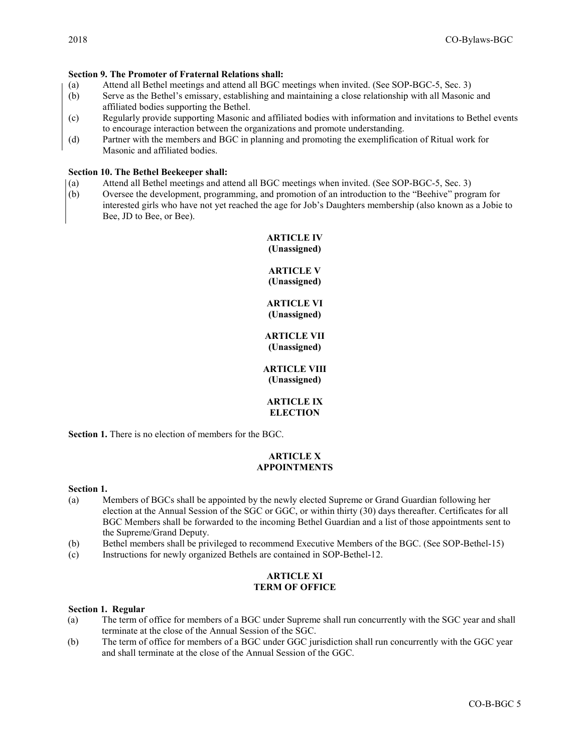# Section 9. The Promoter of Fraternal Relations shall:

- (a) Attend all Bethel meetings and attend all BGC meetings when invited. (See SOP-BGC-5, Sec. 3)
- (b) Serve as the Bethel's emissary, establishing and maintaining a close relationship with all Masonic and affiliated bodies supporting the Bethel.
- (c) Regularly provide supporting Masonic and affiliated bodies with information and invitations to Bethel events to encourage interaction between the organizations and promote understanding.
- (d) Partner with the members and BGC in planning and promoting the exemplification of Ritual work for Masonic and affiliated bodies.

### Section 10. The Bethel Beekeeper shall:

- (a) Attend all Bethel meetings and attend all BGC meetings when invited. (See SOP-BGC-5, Sec. 3)
- (b) Oversee the development, programming, and promotion of an introduction to the "Beehive" program for interested girls who have not yet reached the age for Job's Daughters membership (also known as a Jobie to Bee, JD to Bee, or Bee).

# ARTICLE IV (Unassigned)

# ARTICLE V (Unassigned)

# ARTICLE VI (Unassigned)

# ARTICLE VII (Unassigned)

# ARTICLE VIII (Unassigned)

# ARTICLE IX **ELECTION**

Section 1. There is no election of members for the BGC.

# ARTICLE X APPOINTMENTS

### Section 1.

- (a) Members of BGCs shall be appointed by the newly elected Supreme or Grand Guardian following her election at the Annual Session of the SGC or GGC, or within thirty (30) days thereafter. Certificates for all BGC Members shall be forwarded to the incoming Bethel Guardian and a list of those appointments sent to the Supreme/Grand Deputy.
- (b) Bethel members shall be privileged to recommend Executive Members of the BGC. (See SOP-Bethel-15)
- (c) Instructions for newly organized Bethels are contained in SOP-Bethel-12.

## ARTICLE XI TERM OF OFFICE

### Section 1. Regular

- (a) The term of office for members of a BGC under Supreme shall run concurrently with the SGC year and shall terminate at the close of the Annual Session of the SGC.
- (b) The term of office for members of a BGC under GGC jurisdiction shall run concurrently with the GGC year and shall terminate at the close of the Annual Session of the GGC.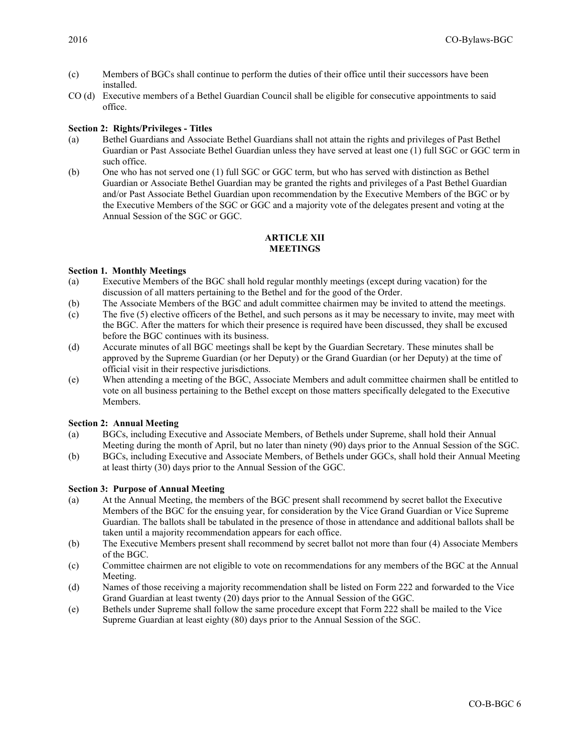- (c) Members of BGCs shall continue to perform the duties of their office until their successors have been installed.
- CO (d) Executive members of a Bethel Guardian Council shall be eligible for consecutive appointments to said office.

# Section 2: Rights/Privileges - Titles

- (a) Bethel Guardians and Associate Bethel Guardians shall not attain the rights and privileges of Past Bethel Guardian or Past Associate Bethel Guardian unless they have served at least one (1) full SGC or GGC term in such office.
- (b) One who has not served one (1) full SGC or GGC term, but who has served with distinction as Bethel Guardian or Associate Bethel Guardian may be granted the rights and privileges of a Past Bethel Guardian and/or Past Associate Bethel Guardian upon recommendation by the Executive Members of the BGC or by the Executive Members of the SGC or GGC and a majority vote of the delegates present and voting at the Annual Session of the SGC or GGC.

## ARTICLE XII **MEETINGS**

## Section 1. Monthly Meetings

- (a) Executive Members of the BGC shall hold regular monthly meetings (except during vacation) for the discussion of all matters pertaining to the Bethel and for the good of the Order.
- (b) The Associate Members of the BGC and adult committee chairmen may be invited to attend the meetings.
- (c) The five (5) elective officers of the Bethel, and such persons as it may be necessary to invite, may meet with the BGC. After the matters for which their presence is required have been discussed, they shall be excused before the BGC continues with its business.
- (d) Accurate minutes of all BGC meetings shall be kept by the Guardian Secretary. These minutes shall be approved by the Supreme Guardian (or her Deputy) or the Grand Guardian (or her Deputy) at the time of official visit in their respective jurisdictions.
- (e) When attending a meeting of the BGC, Associate Members and adult committee chairmen shall be entitled to vote on all business pertaining to the Bethel except on those matters specifically delegated to the Executive Members.

### Section 2: Annual Meeting

- (a) BGCs, including Executive and Associate Members, of Bethels under Supreme, shall hold their Annual Meeting during the month of April, but no later than ninety (90) days prior to the Annual Session of the SGC.
- (b) BGCs, including Executive and Associate Members, of Bethels under GGCs, shall hold their Annual Meeting at least thirty (30) days prior to the Annual Session of the GGC.

# Section 3: Purpose of Annual Meeting

- (a) At the Annual Meeting, the members of the BGC present shall recommend by secret ballot the Executive Members of the BGC for the ensuing year, for consideration by the Vice Grand Guardian or Vice Supreme Guardian. The ballots shall be tabulated in the presence of those in attendance and additional ballots shall be taken until a majority recommendation appears for each office.
- (b) The Executive Members present shall recommend by secret ballot not more than four (4) Associate Members of the BGC.
- (c) Committee chairmen are not eligible to vote on recommendations for any members of the BGC at the Annual Meeting.
- (d) Names of those receiving a majority recommendation shall be listed on Form 222 and forwarded to the Vice Grand Guardian at least twenty (20) days prior to the Annual Session of the GGC.
- (e) Bethels under Supreme shall follow the same procedure except that Form 222 shall be mailed to the Vice Supreme Guardian at least eighty (80) days prior to the Annual Session of the SGC.